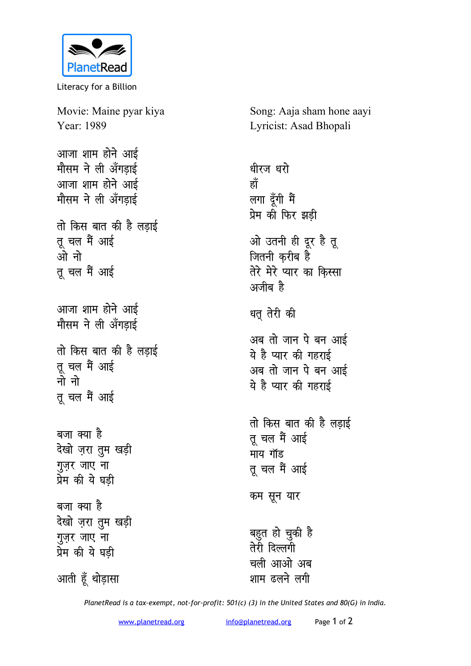

Literacy for a Billion

Movie: Maine pyar kiya Year: 1989

आजा शाम होने आई मौसम ने ली अँगडाई आजा शाम होने आई मौसम ने ली अँगड़ाई

तो किस बात की है लडाई तू चल मैं आई ओ नो तू चल मैं आई

आजा शाम होने आई मौसम ने ली अँगडाई

तो किस बात की है लड़ाई तू चल मैं आई नो नो तू चल मैं आई

बजा क्या है देखो ज़रा तुम खड़ी गुज़र जाए ना प्रेम की ये घडी बजा क्या है देखो जरा तुम खड़ी गुज़र जाए ना प्रेम की ये घडी

आती हूँ थोड़ासा

Song: Aaja sham hone aayi Lyricist: Asad Bhopali

धीरज धरो हाँ लगा दूँगी मैं प्रेम की फिर झड़ी ओ उतनी ही दूर है तू जितनी करीब है तेरे मेरे प्यार का किस्सा अजीब है धतु तेरी की अब तो जान पे बन आई ये है प्यार की गहराई अब तो जान पे बन आई ये है प्यार की गहराई तो किस बात की है लड़ाई तु चल मैं आई माय गॉड तू चल मैं आई कम सून यार बहुत हो चुकी है तेरी दिल्लगी चली आओ अब शाम ढलने लगी

PlanetRead is a tax-exempt, not-for-profit: 501(c) (3) in the United States and 80(G) in India.